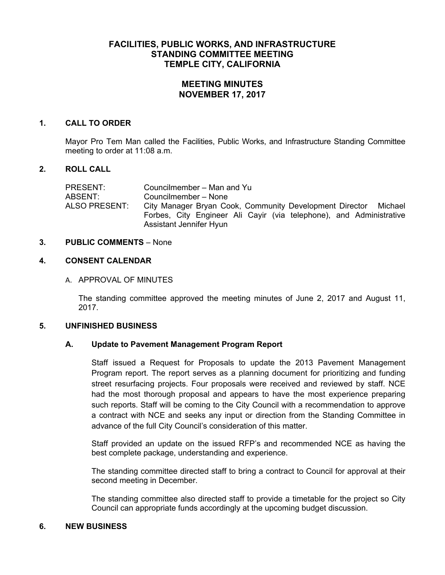# **FACILITIES, PUBLIC WORKS, AND INFRASTRUCTURE STANDING COMMITTEE MEETING TEMPLE CITY, CALIFORNIA**

# **MEETING MINUTES NOVEMBER 17, 2017**

#### **1. CALL TO ORDER**

Mayor Pro Tem Man called the Facilities, Public Works, and Infrastructure Standing Committee meeting to order at 11:08 a.m.

# **2. ROLL CALL**

| PRESENT:<br>ABSENT:  | Councilmember – Man and Yu<br>Councilmember - None                                             |
|----------------------|------------------------------------------------------------------------------------------------|
| <b>ALSO PRESENT:</b> | City Manager Bryan Cook, Community Development Director<br>Michael                             |
|                      | Forbes, City Engineer Ali Cayir (via telephone), and Administrative<br>Assistant Jennifer Hyun |

#### **3. PUBLIC COMMENTS** – None

# **4. CONSENT CALENDAR**

# A. APPROVAL OF MINUTES

The standing committee approved the meeting minutes of June 2, 2017 and August 11, 2017.

#### **5. UNFINISHED BUSINESS**

# **A. Update to Pavement Management Program Report**

Staff issued a Request for Proposals to update the 2013 Pavement Management Program report. The report serves as a planning document for prioritizing and funding street resurfacing projects. Four proposals were received and reviewed by staff. NCE had the most thorough proposal and appears to have the most experience preparing such reports. Staff will be coming to the City Council with a recommendation to approve a contract with NCE and seeks any input or direction from the Standing Committee in advance of the full City Council's consideration of this matter.

Staff provided an update on the issued RFP's and recommended NCE as having the best complete package, understanding and experience.

The standing committee directed staff to bring a contract to Council for approval at their second meeting in December.

The standing committee also directed staff to provide a timetable for the project so City Council can appropriate funds accordingly at the upcoming budget discussion.

# **6. NEW BUSINESS**